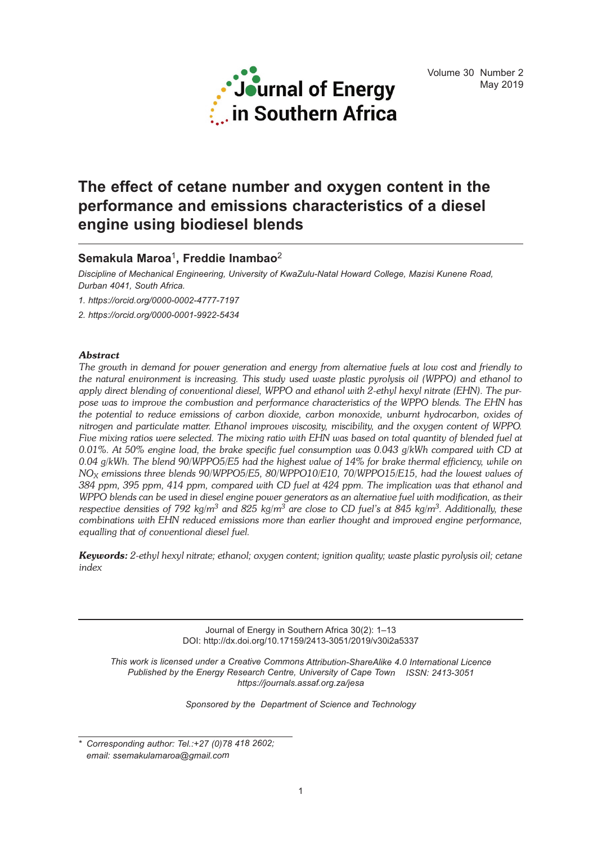

# **The effect of cetane number and oxygen content in the performance and emissions characteristics of a diesel engine using biodiesel blends**

# **Semakula Maroa**1**, Freddie Inambao**<sup>2</sup>

*Discipline of Mechanical Engineering, University of KwaZulu-Natal Howard College, Mazisi Kunene Road, Durban 4041, South Africa.*

*1. https://orcid.org/0000-0002-4777-7197*

*2. https://orcid.org/0000-0001-9922-5434*

# *Abstract*

The growth in demand for power generation and energy from alternative fuels at low cost and friendly to *the natural environment is increasing. This study used waste plastic pyrolysis oil (WPPO) and ethanol to apply direct blending of conventional diesel, WPPO and ethanol with 2-ethyl hexyl nitrate (EHN). The purpose was to improve the combustion and performance characteristics of the WPPO blends. The EHN has the potential to reduce emissions of carbon dioxide, carbon monoxide, unburnt hydrocarbon, oxides of nitrogen and particulate matter. Ethanol improves viscosity, miscibility, and the oxygen content of WPPO.* Five mixing ratios were selected. The mixing ratio with EHN was based on total quantity of blended fuel at *0.01%. At 50% engine load, the brake specific fuel consumption was 0.043 g/kWh compared with CD at 0.04 g/kWh. The blend 90/WPPO5/E5 had the highest value of 14% for brake thermal efficiency, while on NOX emissions three blends 90/WPPO5/E5, 80/WPPO10/E10, 70/WPPO15/E15, had the lowest values of* 384 ppm, 395 ppm, 414 ppm, compared with CD fuel at 424 ppm. The implication was that ethanol and WPPO blends can be used in diesel engine power generators as an alternative fuel with modification, as their respective densities of 792 kg/m<sup>3</sup> and 825 kg/m<sup>3</sup> are close to CD fuel's at 845 kg/m<sup>3</sup>. Additionally, these *combinations with EHN reduced emissions more than earlier thought and improved engine performance, equalling that of conventional diesel fuel.*

*Keywords: 2-ethyl hexyl nitrate; ethanol; oxygen content; ignition quality; waste plastic pyrolysis oil; cetane index*

> Journal of Energy in Southern Africa 30(2): 1–13 DOI: http://dx.doi.org/10.17159/2413-3051/2019/v30i2a5337

*This work is licensed under a Creative Commons Attribution-ShareAlike 4.0 International Licence Published by the Energy Research Centre, University of Cape Town ISSN: 2413-3051 https://journals.assaf.org.za/jesa*

*Sponsored by the Department of Science and Technology*

*<sup>\*</sup> Corresponding author: Tel.:+27 (0)78 418 2602; email: ssemakulamaroa@gmail.com*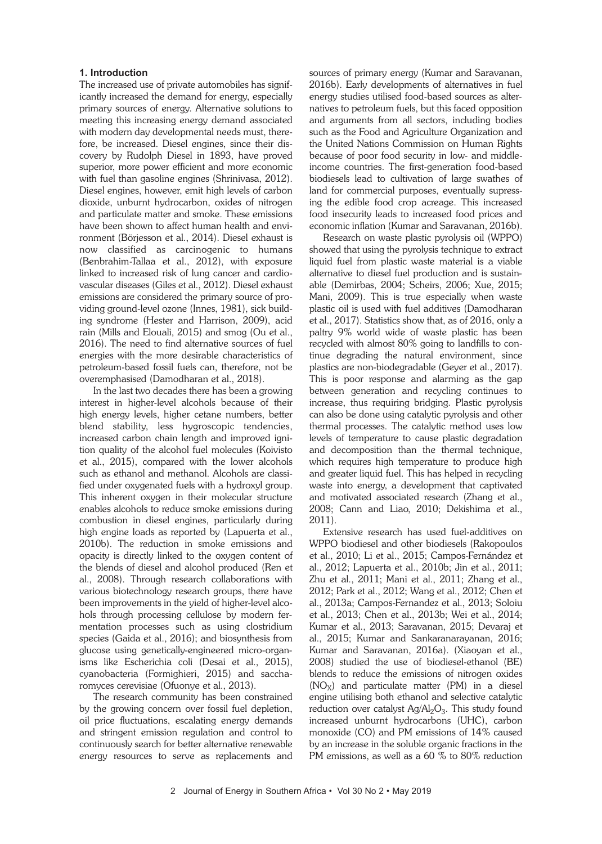# **1. Introduction**

The increased use of private automobiles has significantly increased the demand for energy, especially primary sources of energy. Alternative solutions to meeting this increasing energy demand associated with modern day developmental needs must, therefore, be increased. Diesel engines, since their discovery by Rudolph Diesel in 1893, have proved superior, more power efficient and more economic with fuel than gasoline engines (Shrinivasa, 2012). Diesel engines, however, emit high levels of carbon dioxide, unburnt hydrocarbon, oxides of nitrogen and particulate matter and smoke. These emissions have been shown to affect human health and environment (Börjesson et al., 2014). Diesel exhaust is now classified as carcinogenic to humans (Benbrahim-Tallaa et al., 2012), with exposure linked to increased risk of lung cancer and cardiovascular diseases (Giles et al., 2012). Diesel exhaust emissions are considered the primary source of providing ground-level ozone (Innes, 1981), sick building syndrome (Hester and Harrison, 2009), acid rain (Mills and Elouali, 2015) and smog (Ou et al., 2016). The need to find alternative sources of fuel energies with the more desirable characteristics of petroleum-based fossil fuels can, therefore, not be overemphasised (Damodharan et al., 2018).

In the last two decades there has been a growing interest in higher-level alcohols because of their high energy levels, higher cetane numbers, better blend stability, less hygroscopic tendencies, increased carbon chain length and improved ignition quality of the alcohol fuel molecules (Koivisto et al., 2015), compared with the lower alcohols such as ethanol and methanol. Alcohols are classified under oxygenated fuels with a hydroxyl group. This inherent oxygen in their molecular structure enables alcohols to reduce smoke emissions during combustion in diesel engines, particularly during high engine loads as reported by (Lapuerta et al., 2010b). The reduction in smoke emissions and opacity is directly linked to the oxygen content of the blends of diesel and alcohol produced (Ren et al., 2008). Through research collaborations with various biotechnology research groups, there have been improvements in the yield of higher-level alcohols through processing cellulose by modern fermentation processes such as using clostridium species (Gaida et al., 2016); and biosynthesis from glucose using genetically-engineered micro-organisms like Escherichia coli (Desai et al., 2015), cyanobacteria (Formighieri, 2015) and saccharomyces cerevisiae (Ofuonye et al., 2013).

The research community has been constrained by the growing concern over fossil fuel depletion, oil price fluctuations, escalating energy demands and stringent emission regulation and control to continuously search for better alternative renewable energy resources to serve as replacements and sources of primary energy (Kumar and Saravanan, 2016b). Early developments of alternatives in fuel energy studies utilised food-based sources as alternatives to petroleum fuels, but this faced opposition and arguments from all sectors, including bodies such as the Food and Agriculture Organization and the United Nations Commission on Human Rights because of poor food security in low- and middleincome countries. The first-generation food-based biodiesels lead to cultivation of large swathes of land for commercial purposes, eventually supressing the edible food crop acreage. This increased food insecurity leads to increased food prices and economic inflation (Kumar and Saravanan, 2016b).

Research on waste plastic pyrolysis oil (WPPO) showed that using the pyrolysis technique to extract liquid fuel from plastic waste material is a viable alternative to diesel fuel production and is sustainable (Demirbas, 2004; Scheirs, 2006; Xue, 2015; Mani, 2009). This is true especially when waste plastic oil is used with fuel additives (Damodharan et al., 2017). Statistics show that, as of 2016, only a paltry 9% world wide of waste plastic has been recycled with almost 80% going to landfills to continue degrading the natural environment, since plastics are non-biodegradable (Geyer et al., 2017). This is poor response and alarming as the gap between generation and recycling continues to increase, thus requiring bridging. Plastic pyrolysis can also be done using catalytic pyrolysis and other thermal processes. The catalytic method uses low levels of temperature to cause plastic degradation and decomposition than the thermal technique, which requires high temperature to produce high and greater liquid fuel. This has helped in recycling waste into energy, a development that captivated and motivated associated research (Zhang et al., 2008; Cann and Liao, 2010; Dekishima et al., 2011).

Extensive research has used fuel-additives on WPPO biodiesel and other biodiesels (Rakopoulos et al., 2010; Li et al., 2015; Campos-Fernández et al., 2012; Lapuerta et al., 2010b; Jin et al., 2011; Zhu et al., 2011; Mani et al., 2011; Zhang et al., 2012; Park et al., 2012; Wang et al., 2012; Chen et al., 2013a; Campos-Fernandez et al., 2013; Soloiu et al., 2013; Chen et al., 2013b; Wei et al., 2014; Kumar et al., 2013; Saravanan, 2015; Devaraj et al., 2015; Kumar and Sankaranarayanan, 2016; Kumar and Saravanan, 2016a). (Xiaoyan et al., 2008) studied the use of biodiesel-ethanol (BE) blends to reduce the emissions of nitrogen oxides  $(NO<sub>X</sub>)$  and particulate matter (PM) in a diesel engine utilising both ethanol and selective catalytic reduction over catalyst  $Ag/Al<sub>2</sub>O<sub>3</sub>$ . This study found increased unburnt hydrocarbons (UHC), carbon monoxide (CO) and PM emissions of 14% caused by an increase in the soluble organic fractions in the PM emissions, as well as a 60 % to 80% reduction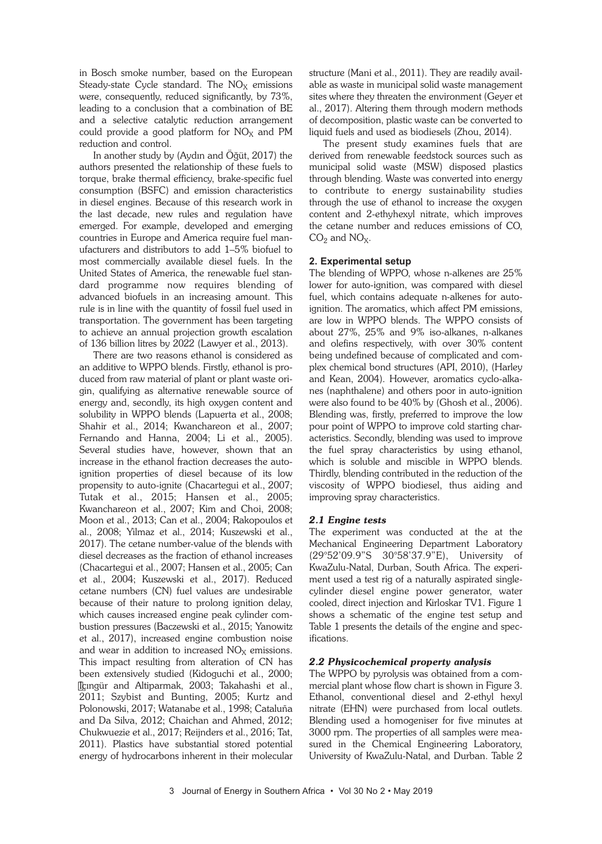in Bosch smoke number, based on the European Steady-state Cycle standard. The  $NO<sub>X</sub>$  emissions were, consequently, reduced significantly, by 73%, leading to a conclusion that a combination of BE and a selective catalytic reduction arrangement could provide a good platform for  $NO<sub>X</sub>$  and PM reduction and control.

In another study by (Aydın and Öğüt, 2017) the authors presented the relationship of these fuels to torque, brake thermal efficiency, brake-specific fuel consumption (BSFC) and emission characteristics in diesel engines. Because of this research work in the last decade, new rules and regulation have emerged. For example, developed and emerging countries in Europe and America require fuel manufacturers and distributors to add 1–5% biofuel to most commercially available diesel fuels. In the United States of America, the renewable fuel standard programme now requires blending of advanced biofuels in an increasing amount. This rule is in line with the quantity of fossil fuel used in transportation. The government has been targeting to achieve an annual projection growth escalation of 136 billion litres by 2022 (Lawyer et al., 2013).

There are two reasons ethanol is considered as an additive to WPPO blends. Firstly, ethanol is produced from raw material of plant or plant waste origin, qualifying as alternative renewable source of energy and, secondly, its high oxygen content and solubility in WPPO blends (Lapuerta et al., 2008; Shahir et al., 2014; Kwanchareon et al., 2007; Fernando and Hanna, 2004; Li et al., 2005). Several studies have, however, shown that an increase in the ethanol fraction decreases the autoignition properties of diesel because of its low propensity to auto-ignite (Chacartegui et al., 2007; Tutak et al., 2015; Hansen et al., 2005; Kwanchareon et al., 2007; Kim and Choi, 2008; Moon et al., 2013; Can et al., 2004; Rakopoulos et al., 2008; Yilmaz et al., 2014; Kuszewski et al., 2017). The cetane number-value of the blends with diesel decreases as the fraction of ethanol increases (Chacartegui et al., 2007; Hansen et al., 2005; Can et al., 2004; Kuszewski et al., 2017). Reduced cetane numbers (CN) fuel values are undesirable because of their nature to prolong ignition delay, which causes increased engine peak cylinder combustion pressures (Baczewski et al., 2015; Yanowitz et al., 2017), increased engine combustion noise and wear in addition to increased  $NO<sub>X</sub>$  emissions. This impact resulting from alteration of CN has been extensively studied (Kidoguchi et al., 2000; Içıngür and Altiparmak, 2003; Takahashi et al., 2011; Szybist and Bunting, 2005; Kurtz and Polonowski, 2017; Watanabe et al., 1998; Cataluña and Da Silva, 2012; Chaichan and Ahmed, 2012; Chukwuezie et al., 2017; Reijnders et al., 2016; Tat, 2011). Plastics have substantial stored potential energy of hydrocarbons inherent in their molecular structure (Mani et al., 2011). They are readily available as waste in municipal solid waste management sites where they threaten the environment (Geyer et al., 2017). Altering them through modern methods of decomposition, plastic waste can be converted to liquid fuels and used as biodiesels (Zhou, 2014).

The present study examines fuels that are derived from renewable feedstock sources such as municipal solid waste (MSW) disposed plastics through blending. Waste was converted into energy to contribute to energy sustainability studies through the use of ethanol to increase the oxygen content and 2-ethyhexyl nitrate, which improves the cetane number and reduces emissions of CO,  $CO<sub>2</sub>$  and  $NO<sub>X</sub>$ .

# **2. Experimental setup**

The blending of WPPO, whose n-alkenes are 25% lower for auto-ignition, was compared with diesel fuel, which contains adequate n-alkenes for autoignition. The aromatics, which affect PM emissions, are low in WPPO blends. The WPPO consists of about 27%, 25% and 9% iso-alkanes, n-alkanes and olefins respectively, with over 30% content being undefined because of complicated and complex chemical bond structures (API, 2010), (Harley and Kean, 2004). However, aromatics cyclo-alkanes (naphthalene) and others poor in auto-ignition were also found to be 40% by (Ghosh et al., 2006). Blending was, firstly, preferred to improve the low pour point of WPPO to improve cold starting characteristics. Secondly, blending was used to improve the fuel spray characteristics by using ethanol, which is soluble and miscible in WPPO blends. Thirdly, blending contributed in the reduction of the viscosity of WPPO biodiesel, thus aiding and improving spray characteristics.

# *2.1 Engine tests*

The experiment was conducted at the at the Mechanical Engineering Department Laboratory (29°52'09.9"S 30°58'37.9"E), University of KwaZulu-Natal, Durban, South Africa. The experiment used a test rig of a naturally aspirated singlecylinder diesel engine power generator, water cooled, direct injection and Kirloskar TV1. Figure 1 shows a schematic of the engine test setup and Table 1 presents the details of the engine and specifications.

# *2.2 Physicochemical property analysis*

The WPPO by pyrolysis was obtained from a commercial plant whose flow chart is shown in Figure 3. Ethanol, conventional diesel and 2-ethyl hexyl nitrate (EHN) were purchased from local outlets. Blending used a homogeniser for five minutes at 3000 rpm. The properties of all samples were measured in the Chemical Engineering Laboratory, University of KwaZulu-Natal, and Durban. Table 2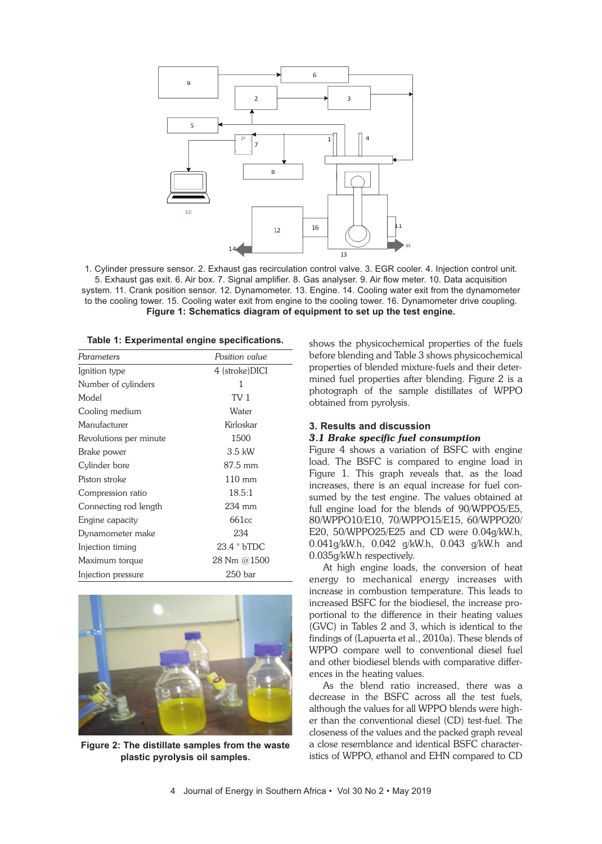

1. Cylinder pressure sensor. 2. Exhaust gas recirculation control valve. 3. EGR cooler. 4. Injection control unit. 5. Exhaust gas exit. 6. Air box. 7. Signal amplifier. 8. Gas analyser. 9. Air flow meter. 10. Data acquisition system. 11. Crank position sensor. 12. Dynamometer. 13. Engine. 14. Cooling water exit from the dynamometer to the cooling tower. 15. Cooling water exit from engine to the cooling tower. 16. Dynamometer drive coupling. **Figure 1: Schematics diagram of equipment to set up the test engine.**

| Table 1: Experimental engine specifications. |  |  |
|----------------------------------------------|--|--|
|----------------------------------------------|--|--|

| Parameters             | Position value      |
|------------------------|---------------------|
| Ignition type          | 4 (stroke)DICI      |
| Number of cylinders    | 1                   |
| Model                  | TV <sub>1</sub>     |
| Cooling medium         | Water               |
| Manufacturer           | Kirloskar           |
| Revolutions per minute | 1500                |
| Brake power            | $3.5$ kW            |
| Cylinder bore          | 87.5 mm             |
| Piston stroke          | $110 \text{ mm}$    |
| Compression ratio      | 18.5:1              |
| Connecting rod length  | $234$ mm            |
| Engine capacity        | 661cc               |
| Dynamometer make       | 234                 |
| Injection timing       | $23.4 \degree$ bTDC |
| Maximum torque         | 28 Nm @1500         |
| Injection pressure     | $250$ bar           |



**Figure 2: The distillate samples from the waste plastic pyrolysis oil samples.**

shows the physicochemical properties of the fuels before blending and Table 3 shows physicochemical properties of blended mixture-fuels and their determined fuel properties after blending. Figure 2 is a photograph of the sample distillates of WPPO obtained from pyrolysis.

#### **3. Results and discussion**

#### *3.1 Brake specific fuel consumption*

Figure 4 shows a variation of BSFC with engine load. The BSFC is compared to engine load in Figure 1. This graph reveals that, as the load increases, there is an equal increase for fuel consumed by the test engine. The values obtained at full engine load for the blends of 90/WPPO5/E5, 80/WPPO10/E10, 70/WPPO15/E15, 60/WPPO20/ E20, 50/WPPO25/E25 and CD were 0.04g/kW.h, 0.041g/kW.h, 0.042 g/kW.h, 0.043 g/kW.h and 0.035g/kW.h respectively.

At high engine loads, the conversion of heat energy to mechanical energy increases with increase in combustion temperature. This leads to increased BSFC for the biodiesel, the increase proportional to the difference in their heating values (GVC) in Tables 2 and 3, which is identical to the findings of (Lapuerta et al., 2010a). These blends of WPPO compare well to conventional diesel fuel and other biodiesel blends with comparative differences in the heating values.

As the blend ratio increased, there was a decrease in the BSFC across all the test fuels, although the values for all WPPO blends were higher than the conventional diesel (CD) test-fuel. The closeness of the values and the packed graph reveal a close resemblance and identical BSFC characteristics of WPPO, ethanol and EHN compared to CD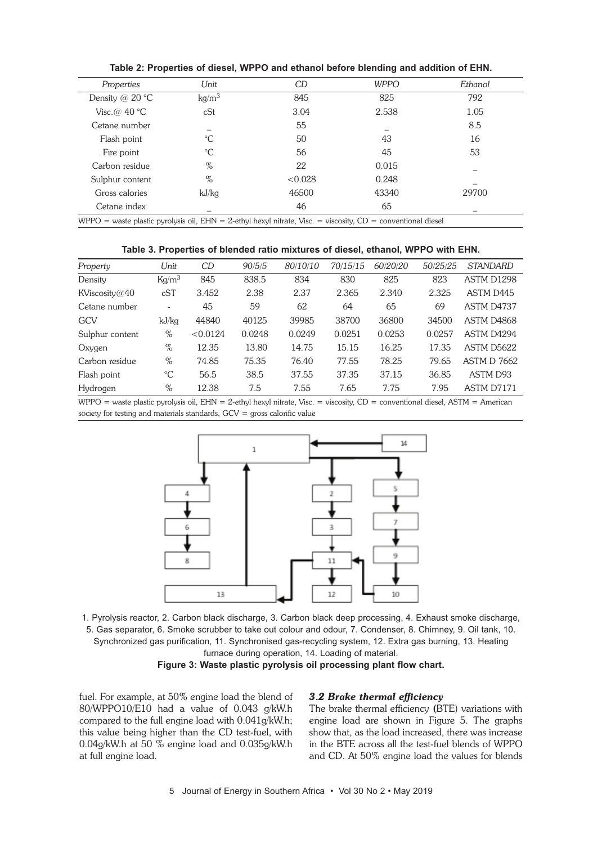| Properties                                                                                                        | Unit              | CD      | <b>WPPO</b> | Ethanol |  |
|-------------------------------------------------------------------------------------------------------------------|-------------------|---------|-------------|---------|--|
| Density @ 20 $\degree$ C                                                                                          | kg/m <sup>3</sup> | 845     | 825         | 792     |  |
| Visc.@ 40 $^{\circ}$ C                                                                                            | cSt               | 3.04    | 2.538       | 1.05    |  |
| Cetane number                                                                                                     |                   | 55      |             | 8.5     |  |
| Flash point                                                                                                       | $^{\circ}C$       | 50      | 43          | 16      |  |
| Fire point                                                                                                        | $\rm ^{\circ}C$   | 56      | 45          | 53      |  |
| Carbon residue                                                                                                    | %                 | 22      | 0.015       |         |  |
| Sulphur content                                                                                                   | $\%$              | < 0.028 | 0.248       |         |  |
| Gross calories                                                                                                    | kJ/kg             | 46500   | 43340       | 29700   |  |
| Cetane index                                                                                                      |                   | 46      | 65          |         |  |
| WPPO = waste plastic pyrolysis oil, $EHN = 2$ -ethyl hexyl nitrate, Visc. = viscosity, $CD =$ conventional diesel |                   |         |             |         |  |

**Table 2: Properties of diesel, WPPO and ethanol before blending and addition of EHN.**

| Table 3. Properties of blended ratio mixtures of diesel, ethanol, WPPO with EHN. |  |  |  |  |  |  |
|----------------------------------------------------------------------------------|--|--|--|--|--|--|
|----------------------------------------------------------------------------------|--|--|--|--|--|--|

| Property        | Unit                     | CD       | 90/5/5 | 80/10/10 | 70/15/15 | 60/20/20 | 50/25/25 | <b>STANDARD</b>        |
|-----------------|--------------------------|----------|--------|----------|----------|----------|----------|------------------------|
| Density         | $\text{Kg/m}^3$          | 845      | 838.5  | 834      | 830      | 825      | 823      | ASTM D1298             |
| KViscosity@40   | cST                      | 3.452    | 2.38   | 2.37     | 2.365    | 2.340    | 2.325    | ASTM D445              |
| Cetane number   | $\overline{\phantom{0}}$ | 45       | 59     | 62       | 64       | 65       | 69       | ASTM D4737             |
| GCV             | kJ/kg                    | 44840    | 40125  | 39985    | 38700    | 36800    | 34500    | ASTM D4868             |
| Sulphur content | %                        | < 0.0124 | 0.0248 | 0.0249   | 0.0251   | 0.0253   | 0.0257   | ASTM D4294             |
| Oxygen          | %                        | 12.35    | 13.80  | 14.75    | 15.15    | 16.25    | 17.35    | ASTM D <sub>5622</sub> |
| Carbon residue  | $\%$                     | 74.85    | 75.35  | 76.40    | 77.55    | 78.25    | 79.65    | <b>ASTM D 7662</b>     |
| Flash point     | $^{\circ}C$              | 56.5     | 38.5   | 37.55    | 37.35    | 37.15    | 36.85    | ASTM D93               |
| Hydrogen        | %                        | 12.38    | 7.5    | 7.55     | 7.65     | 7.75     | 7.95     | ASTM D7171             |

WPPO = waste plastic pyrolysis oil, EHN = 2-ethyl hexyl nitrate, Visc. = viscosity, CD = conventional diesel, ASTM = American society for testing and materials standards, GCV = gross calorific value



1. Pyrolysis reactor, 2. Carbon black discharge, 3. Carbon black deep processing, 4. Exhaust smoke discharge, 5. Gas separator, 6. Smoke scrubber to take out colour and odour, 7. Condenser, 8. Chimney, 9. Oil tank, 10. Synchronized gas purification, 11. Synchronised gas-recycling system, 12. Extra gas burning, 13. Heating furnace during operation, 14. Loading of material.

**Figure 3: Waste plastic pyrolysis oil processing plant flow chart.**

fuel. For example, at 50% engine load the blend of 80/WPPO10/E10 had a value of 0.043 g/kW.h compared to the full engine load with 0.041g/kW.h; this value being higher than the CD test-fuel, with 0.04g/kW.h at 50 % engine load and 0.035g/kW.h at full engine load.

#### *3.2 Brake thermal efficiency*

The brake thermal efficiency (BTE) variations with engine load are shown in Figure 5. The graphs show that, as the load increased, there was increase in the BTE across all the test-fuel blends of WPPO and CD. At 50% engine load the values for blends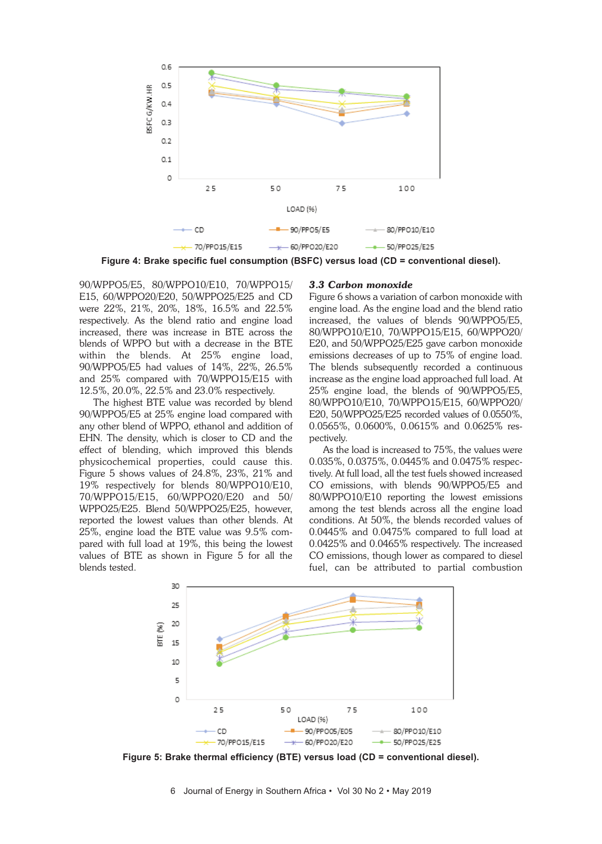

**Figure 4: Brake specific fuel consumption (BSFC) versus load (CD = conventional diesel).**

90/WPPO5/E5, 80/WPPO10/E10, 70/WPPO15/ E15, 60/WPPO20/E20, 50/WPPO25/E25 and CD were 22%, 21%, 20%, 18%, 16.5% and 22.5% respectively. As the blend ratio and engine load increased, there was increase in BTE across the blends of WPPO but with a decrease in the BTE within the blends. At 25% engine load, 90/WPPO5/E5 had values of 14%, 22%, 26.5% and 25% compared with 70/WPPO15/E15 with 12.5%, 20.0%, 22.5% and 23.0% respectively.

The highest BTE value was recorded by blend 90/WPPO5/E5 at 25% engine load compared with any other blend of WPPO, ethanol and addition of EHN. The density, which is closer to CD and the effect of blending, which improved this blends physicochemical properties, could cause this. Figure 5 shows values of 24.8%, 23%, 21% and 19% respectively for blends 80/WPPO10/E10, 70/WPPO15/E15, 60/WPPO20/E20 and 50/ WPPO25/E25. Blend 50/WPPO25/E25, however, reported the lowest values than other blends. At 25%, engine load the BTE value was 9.5% compared with full load at 19%, this being the lowest values of BTE as shown in Figure 5 for all the blends tested.

#### *3.3 Carbon monoxide*

Figure 6 shows a variation of carbon monoxide with engine load. As the engine load and the blend ratio increased, the values of blends 90/WPPO5/E5, 80/WPPO10/E10, 70/WPPO15/E15, 60/WPPO20/ E20, and 50/WPPO25/E25 gave carbon monoxide emissions decreases of up to 75% of engine load. The blends subsequently recorded a continuous increase as the engine load approached full load. At 25% engine load, the blends of 90/WPPO5/E5, 80/WPPO10/E10, 70/WPPO15/E15, 60/WPPO20/ E20, 50/WPPO25/E25 recorded values of 0.0550%, 0.0565%, 0.0600%, 0.0615% and 0.0625% respectively.

As the load is increased to 75%, the values were 0.035%, 0.0375%, 0.0445% and 0.0475% respectively. At full load, all the test fuels showed increased CO emissions, with blends 90/WPPO5/E5 and 80/WPPO10/E10 reporting the lowest emissions among the test blends across all the engine load conditions. At 50%, the blends recorded values of 0.0445% and 0.0475% compared to full load at 0.0425% and 0.0465% respectively. The increased CO emissions, though lower as compared to diesel fuel, can be attributed to partial combustion



**Figure 5: Brake thermal efficiency (BTE) versus load (CD = conventional diesel).**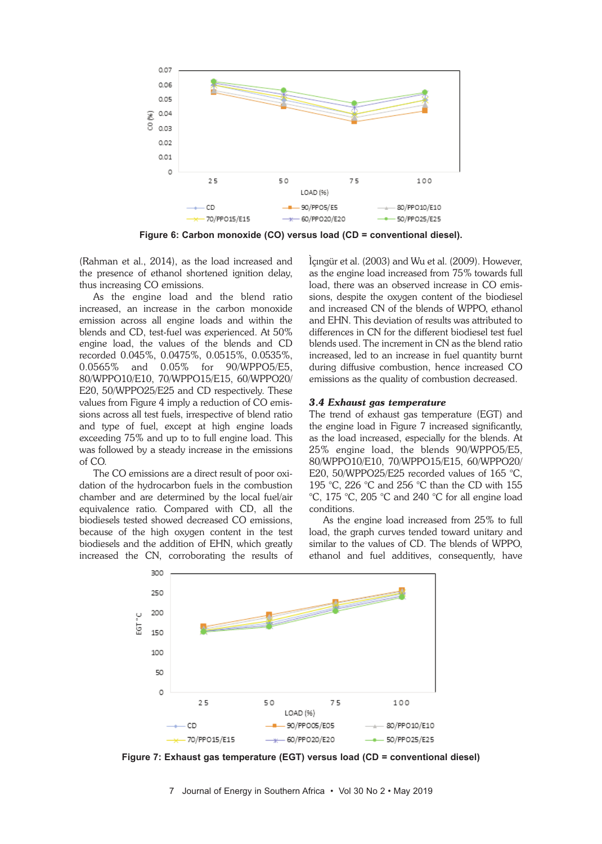

**Figure 6: Carbon monoxide (CO) versus load (CD = conventional diesel).**

(Rahman et al., 2014), as the load increased and the presence of ethanol shortened ignition delay, thus increasing CO emissions.

As the engine load and the blend ratio increased, an increase in the carbon monoxide emission across all engine loads and within the blends and CD, test-fuel was experienced. At 50% engine load, the values of the blends and CD recorded 0.045%, 0.0475%, 0.0515%, 0.0535%, 0.0565% and 0.05% for 90/WPPO5/E5, 80/WPPO10/E10, 70/WPPO15/E15, 60/WPPO20/ E20, 50/WPPO25/E25 and CD respectively. These values from Figure 4 imply a reduction of CO emissions across all test fuels, irrespective of blend ratio and type of fuel, except at high engine loads exceeding 75% and up to to full engine load. This was followed by a steady increase in the emissions of CO.

The CO emissions are a direct result of poor oxidation of the hydrocarbon fuels in the combustion chamber and are determined by the local fuel/air equivalence ratio. Compared with CD, all the biodiesels tested showed decreased CO emissions, because of the high oxygen content in the test biodiesels and the addition of EHN, which greatly increased the CN, corroborating the results of Ìçıngür et al. (2003) and Wu et al. (2009). However, as the engine load increased from 75% towards full load, there was an observed increase in CO emissions, despite the oxygen content of the biodiesel and increased CN of the blends of WPPO, ethanol and EHN. This deviation of results was attributed to differences in CN for the different biodiesel test fuel blends used. The increment in CN as the blend ratio increased, led to an increase in fuel quantity burnt during diffusive combustion, hence increased CO emissions as the quality of combustion decreased.

# *3.4 Exhaust gas temperature*

The trend of exhaust gas temperature (EGT) and the engine load in Figure 7 increased significantly, as the load increased, especially for the blends. At 25% engine load, the blends 90/WPPO5/E5, 80/WPPO10/E10, 70/WPPO15/E15, 60/WPPO20/ E20, 50/WPPO25/E25 recorded values of 165 °C, 195 °C, 226 °C and 256 °C than the CD with 155 °C, 175 °C, 205 °C and 240 °C for all engine load conditions.

As the engine load increased from 25% to full load, the graph curves tended toward unitary and similar to the values of CD. The blends of WPPO, ethanol and fuel additives, consequently, have



**Figure 7: Exhaust gas temperature (EGT) versus load (CD = conventional diesel)**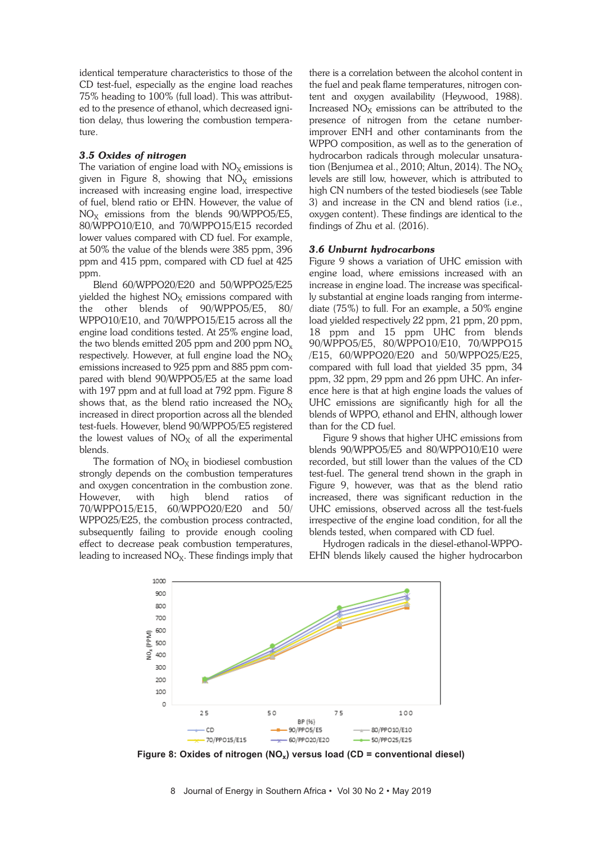identical temperature characteristics to those of the CD test-fuel, especially as the engine load reaches 75% heading to 100% (full load). This was attributed to the presence of ethanol, which decreased ignition delay, thus lowering the combustion temperature.

# *3.5 Oxides of nitrogen*

The variation of engine load with  $NO<sub>X</sub>$  emissions is given in Figure 8, showing that  $NO<sub>X</sub>$  emissions increased with increasing engine load, irrespective of fuel, blend ratio or EHN. However, the value of  $NO<sub>X</sub>$  emissions from the blends 90/WPPO5/E5, 80/WPPO10/E10, and 70/WPPO15/E15 recorded lower values compared with CD fuel. For example, at 50% the value of the blends were 385 ppm, 396 ppm and 415 ppm, compared with CD fuel at 425 ppm.

Blend 60/WPPO20/E20 and 50/WPPO25/E25 yielded the highest  $NO<sub>X</sub>$  emissions compared with the other blends of 90/WPPO5/E5, 80/ WPPO10/E10, and 70/WPPO15/E15 across all the engine load conditions tested. At 25% engine load, the two blends emitted 205 ppm and 200 ppm  $NO<sub>x</sub>$ respectively. However, at full engine load the  $NO<sub>X</sub>$ emissions increased to 925 ppm and 885 ppm compared with blend 90/WPPO5/E5 at the same load with 197 ppm and at full load at 792 ppm. Figure 8 shows that, as the blend ratio increased the  $NO<sub>X</sub>$ increased in direct proportion across all the blended test-fuels. However, blend 90/WPPO5/E5 registered the lowest values of  $NO<sub>X</sub>$  of all the experimental blends.

The formation of  $NO<sub>X</sub>$  in biodiesel combustion strongly depends on the combustion temperatures and oxygen concentration in the combustion zone. However, with high blend ratios of 70/WPPO15/E15, 60/WPPO20/E20 and 50/ WPPO25/E25, the combustion process contracted, subsequently failing to provide enough cooling effect to decrease peak combustion temperatures, leading to increased  $NO<sub>X</sub>$ . These findings imply that there is a correlation between the alcohol content in the fuel and peak flame temperatures, nitrogen content and oxygen availability (Heywood, 1988). Increased  $NO<sub>X</sub>$  emissions can be attributed to the presence of nitrogen from the cetane numberimprover ENH and other contaminants from the WPPO composition, as well as to the generation of hydrocarbon radicals through molecular unsaturation (Benjumea et al., 2010; Altun, 2014). The  $NO<sub>x</sub>$ levels are still low, however, which is attributed to high CN numbers of the tested biodiesels (see Table 3) and increase in the CN and blend ratios (i.e., oxygen content). These findings are identical to the findings of Zhu et al. (2016).

#### *3.6 Unburnt hydrocarbons*

Figure 9 shows a variation of UHC emission with engine load, where emissions increased with an increase in engine load. The increase was specifically substantial at engine loads ranging from intermediate (75%) to full. For an example, a 50% engine load yielded respectively 22 ppm, 21 ppm, 20 ppm, 18 ppm and 15 ppm UHC from blends 90/WPPO5/E5, 80/WPPO10/E10, 70/WPPO15 /E15, 60/WPPO20/E20 and 50/WPPO25/E25, compared with full load that yielded 35 ppm, 34 ppm, 32 ppm, 29 ppm and 26 ppm UHC. An inference here is that at high engine loads the values of UHC emissions are significantly high for all the blends of WPPO, ethanol and EHN, although lower than for the CD fuel.

Figure 9 shows that higher UHC emissions from blends 90/WPPO5/E5 and 80/WPPO10/E10 were recorded, but still lower than the values of the CD test-fuel. The general trend shown in the graph in Figure 9, however, was that as the blend ratio increased, there was significant reduction in the UHC emissions, observed across all the test-fuels irrespective of the engine load condition, for all the blends tested, when compared with CD fuel.

Hydrogen radicals in the diesel-ethanol-WPPO-EHN blends likely caused the higher hydrocarbon



**Figure 8: Oxides of nitrogen (NOx) versus load (CD = conventional diesel)**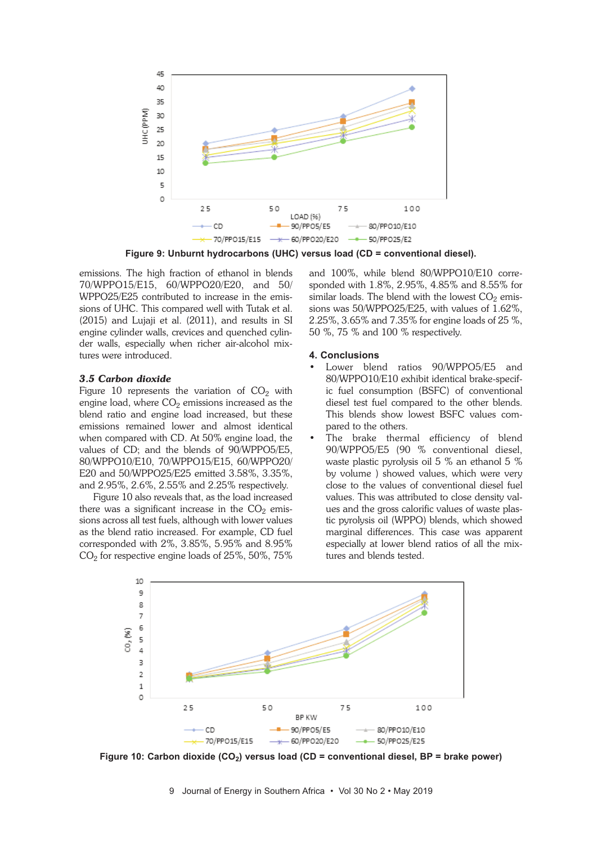

**Figure 9: Unburnt hydrocarbons (UHC) versus load (CD = conventional diesel).**

emissions. The high fraction of ethanol in blends 70/WPPO15/E15, 60/WPPO20/E20, and 50/ WPPO25/E25 contributed to increase in the emissions of UHC. This compared well with Tutak et al. (2015) and Lujaji et al. (2011), and results in SI engine cylinder walls, crevices and quenched cylinder walls, especially when richer air-alcohol mixtures were introduced.

#### *3.5 Carbon dioxide*

Figure 10 represents the variation of  $CO<sub>2</sub>$  with engine load, where  $CO<sub>2</sub>$  emissions increased as the blend ratio and engine load increased, but these emissions remained lower and almost identical when compared with CD. At 50% engine load, the values of CD; and the blends of 90/WPPO5/E5, 80/WPPO10/E10, 70/WPPO15/E15, 60/WPPO20/ E20 and 50/WPPO25/E25 emitted 3.58%, 3.35%, and 2.95%, 2.6%, 2.55% and 2.25% respectively.

Figure 10 also reveals that, as the load increased there was a significant increase in the  $CO<sub>2</sub>$  emissions across all test fuels, although with lower values as the blend ratio increased. For example, CD fuel corresponded with 2%, 3.85%, 5.95% and 8.95%  $CO<sub>2</sub>$  for respective engine loads of 25%, 50%, 75% and 100%, while blend 80/WPPO10/E10 corresponded with 1.8%, 2.95%, 4.85% and 8.55% for similar loads. The blend with the lowest  $CO<sub>2</sub>$  emissions was 50/WPPO25/E25, with values of 1.62%, 2.25%, 3.65% and 7.35% for engine loads of 25 %, 50 %, 75 % and 100 % respectively.

# **4. Conclusions**

- Lower blend ratios 90/WPPO5/E5 and 80/WPPO10/E10 exhibit identical brake-specific fuel consumption (BSFC) of conventional diesel test fuel compared to the other blends. This blends show lowest BSFC values compared to the others.
- The brake thermal efficiency of blend 90/WPPO5/E5 (90 % conventional diesel, waste plastic pyrolysis oil 5 % an ethanol 5 % by volume ) showed values, which were very close to the values of conventional diesel fuel values. This was attributed to close density values and the gross calorific values of waste plastic pyrolysis oil (WPPO) blends, which showed marginal differences. This case was apparent especially at lower blend ratios of all the mixtures and blends tested.



**Figure 10: Carbon dioxide (CO2) versus load (CD = conventional diesel, BP = brake power)**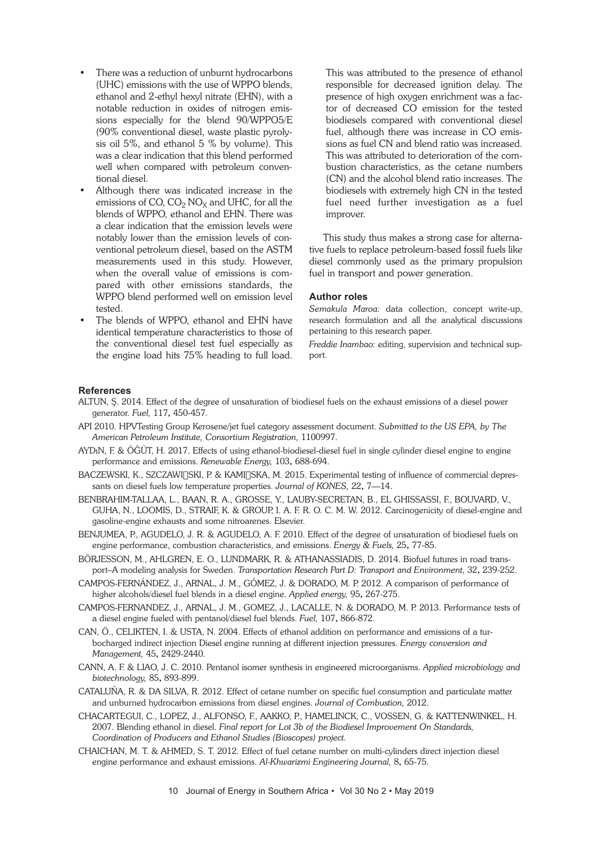- There was a reduction of unburnt hydrocarbons (UHC) emissions with the use of WPPO blends, ethanol and 2-ethyl hexyl nitrate (EHN), with a notable reduction in oxides of nitrogen emissions especially for the blend 90/WPPO5/E (90% conventional diesel, waste plastic pyrolysis oil 5%, and ethanol 5 % by volume). This was a clear indication that this blend performed well when compared with petroleum conventional diesel.
- Although there was indicated increase in the emissions of CO,  $CO_2$  NO<sub>x</sub> and UHC, for all the blends of WPPO, ethanol and EHN. There was a clear indication that the emission levels were notably lower than the emission levels of conventional petroleum diesel, based on the ASTM measurements used in this study. However, when the overall value of emissions is compared with other emissions standards, the WPPO blend performed well on emission level tested.
- The blends of WPPO, ethanol and EHN have identical temperature characteristics to those of the conventional diesel test fuel especially as the engine load hits 75% heading to full load.

This was attributed to the presence of ethanol responsible for decreased ignition delay. The presence of high oxygen enrichment was a factor of decreased CO emission for the tested biodiesels compared with conventional diesel fuel, although there was increase in CO emissions as fuel CN and blend ratio was increased. This was attributed to deterioration of the combustion characteristics, as the cetane numbers (CN) and the alcohol blend ratio increases. The biodiesels with extremely high CN in the tested fuel need further investigation as a fuel improver.

This study thus makes a strong case for alternative fuels to replace petroleum-based fossil fuels like diesel commonly used as the primary propulsion fuel in transport and power generation.

#### **Author roles**

*Semakula Maroa:* data collection, concept write-up, research formulation and all the analytical discussions pertaining to this research paper.

*Freddie Inambao:* editing, supervision and technical support.

#### **References**

- ALTUN, Ş. 2014. Effect of the degree of unsaturation of biodiesel fuels on the exhaust emissions of a diesel power generator. *Fuel,* 117, 450-457.
- API 2010. HPVTesting Group Kerosene/jet fuel category assessment document. *Submitted to the US EPA, by The American Petroleum Institute, Consortium Registration,* 1100997.
- AYDıN, F. & ÖĞÜT, H. 2017. Effects of using ethanol-biodiesel-diesel fuel in single cylinder diesel engine to engine performance and emissions. *Renewable Energy,* 103, 688-694.
- BACZEWSKI, K., SZCZAWI∏SKI, P. & KAMI∏SKA, M. 2015. Experimental testing of influence of commercial depressants on diesel fuels low temperature properties. *Journal of KONES,* 22, 7—14.
- BENBRAHIM-TALLAA, L., BAAN, R. A., GROSSE, Y., LAUBY-SECRETAN, B., EL GHISSASSI, F., BOUVARD, V., GUHA, N., LOOMIS, D., STRAIF, K. & GROUP, I. A. F. R. O. C. M. W. 2012. Carcinogenicity of diesel-engine and gasoline-engine exhausts and some nitroarenes. Elsevier.
- BENJUMEA, P., AGUDELO, J. R. & AGUDELO, A. F. 2010. Effect of the degree of unsaturation of biodiesel fuels on engine performance, combustion characteristics, and emissions. *Energy & Fuels,* 25, 77-85.
- BÖRJESSON, M., AHLGREN, E. O., LUNDMARK, R. & ATHANASSIADIS, D. 2014. Biofuel futures in road transport–A modeling analysis for Sweden. *Transportation Research Part D: Transport and Environment,* 32, 239-252.
- CAMPOS-FERNÁNDEZ, J., ARNAL, J. M., GÓMEZ, J. & DORADO, M. P. 2012. A comparison of performance of higher alcohols/diesel fuel blends in a diesel engine. *Applied energy,* 95, 267-275.
- CAMPOS-FERNANDEZ, J., ARNAL, J. M., GOMEZ, J., LACALLE, N. & DORADO, M. P. 2013. Performance tests of a diesel engine fueled with pentanol/diesel fuel blends. *Fuel,* 107, 866-872.
- CAN, Ö., CELIKTEN, I. & USTA, N. 2004. Effects of ethanol addition on performance and emissions of a turbocharged indirect injection Diesel engine running at different injection pressures. *Energy conversion and Management,* 45, 2429-2440.
- CANN, A. F. & LIAO, J. C. 2010. Pentanol isomer synthesis in engineered microorganisms. *Applied microbiology and biotechnology,* 85, 893-899.
- CATALUÑA, R. & DA SILVA, R. 2012. Effect of cetane number on specific fuel consumption and particulate matter and unburned hydrocarbon emissions from diesel engines. *Journal of Combustion,* 2012.
- CHACARTEGUI, C., LOPEZ, J., ALFONSO, F., AAKKO, P., HAMELINCK, C., VOSSEN, G. & KATTENWINKEL, H. 2007. Blending ethanol in diesel. *Final report for Lot 3b of the Biodiesel Improvement On Standards, Coordination of Producers and Ethanol Studies (Bioscopes) project*.
- CHAICHAN, M. T. & AHMED, S. T. 2012. Effect of fuel cetane number on multi-cylinders direct injection diesel engine performance and exhaust emissions. *Al-Khwarizmi Engineering Journal,* 8, 65-75.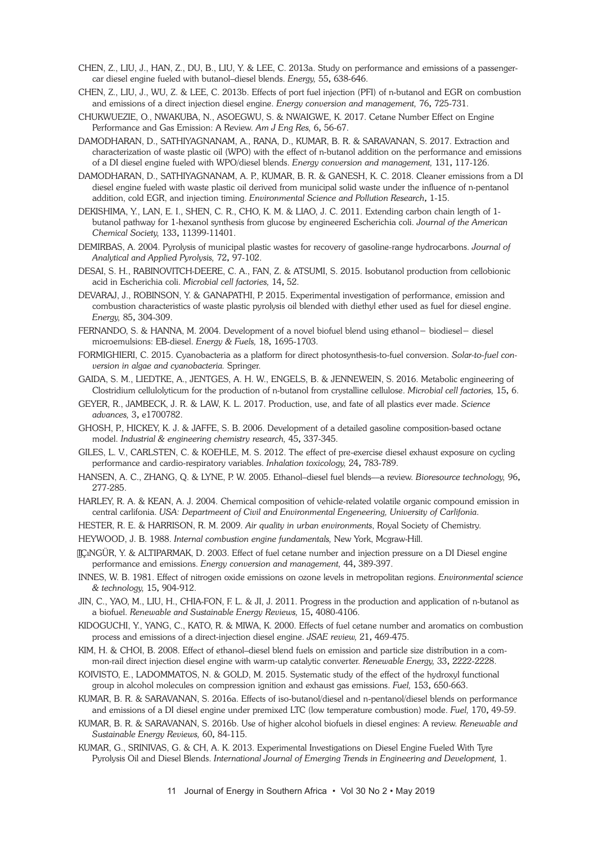- CHEN, Z., LIU, J., HAN, Z., DU, B., LIU, Y. & LEE, C. 2013a. Study on performance and emissions of a passengercar diesel engine fueled with butanol–diesel blends. *Energy,* 55, 638-646.
- CHEN, Z., LIU, J., WU, Z. & LEE, C. 2013b. Effects of port fuel injection (PFI) of n-butanol and EGR on combustion and emissions of a direct injection diesel engine. *Energy conversion and management,* 76, 725-731.
- CHUKWUEZIE, O., NWAKUBA, N., ASOEGWU, S. & NWAIGWE, K. 2017. Cetane Number Effect on Engine Performance and Gas Emission: A Review. *Am J Eng Res,* 6, 56-67.
- DAMODHARAN, D., SATHIYAGNANAM, A., RANA, D., KUMAR, B. R. & SARAVANAN, S. 2017. Extraction and characterization of waste plastic oil (WPO) with the effect of n-butanol addition on the performance and emissions of a DI diesel engine fueled with WPO/diesel blends. *Energy conversion and management,* 131, 117-126.
- DAMODHARAN, D., SATHIYAGNANAM, A. P., KUMAR, B. R. & GANESH, K. C. 2018. Cleaner emissions from a DI diesel engine fueled with waste plastic oil derived from municipal solid waste under the influence of n-pentanol addition, cold EGR, and injection timing. *Environmental Science and Pollution Research*, 1-15.
- DEKISHIMA, Y., LAN, E. I., SHEN, C. R., CHO, K. M. & LIAO, J. C. 2011. Extending carbon chain length of 1 butanol pathway for 1-hexanol synthesis from glucose by engineered Escherichia coli. *Journal of the American Chemical Society,* 133, 11399-11401.
- DEMIRBAS, A. 2004. Pyrolysis of municipal plastic wastes for recovery of gasoline-range hydrocarbons. *Journal of Analytical and Applied Pyrolysis,* 72, 97-102.
- DESAI, S. H., RABINOVITCH-DEERE, C. A., FAN, Z. & ATSUMI, S. 2015. Isobutanol production from cellobionic acid in Escherichia coli. *Microbial cell factories,* 14, 52.
- DEVARAJ, J., ROBINSON, Y. & GANAPATHI, P. 2015. Experimental investigation of performance, emission and combustion characteristics of waste plastic pyrolysis oil blended with diethyl ether used as fuel for diesel engine. *Energy,* 85, 304-309.
- FERNANDO, S. & HANNA, M. 2004. Development of a novel biofuel blend using ethanol− biodiesel− diesel microemulsions: EB-diesel. *Energy & Fuels,* 18, 1695-1703.
- FORMIGHIERI, C. 2015. Cyanobacteria as a platform for direct photosynthesis-to-fuel conversion. *Solar-to-fuel conversion in algae and cyanobacteria.* Springer.
- GAIDA, S. M., LIEDTKE, A., JENTGES, A. H. W., ENGELS, B. & JENNEWEIN, S. 2016. Metabolic engineering of Clostridium cellulolyticum for the production of n-butanol from crystalline cellulose. *Microbial cell factories,* 15, 6.
- GEYER, R., JAMBECK, J. R. & LAW, K. L. 2017. Production, use, and fate of all plastics ever made. *Science advances,* 3, e1700782.
- GHOSH, P., HICKEY, K. J. & JAFFE, S. B. 2006. Development of a detailed gasoline composition-based octane model. *Industrial & engineering chemistry research,* 45, 337-345.
- GILES, L. V., CARLSTEN, C. & KOEHLE, M. S. 2012. The effect of pre-exercise diesel exhaust exposure on cycling performance and cardio-respiratory variables. *Inhalation toxicology,* 24, 783-789.
- HANSEN, A. C., ZHANG, Q. & LYNE, P. W. 2005. Ethanol–diesel fuel blends––a review. *Bioresource technology,* 96, 277-285.
- HARLEY, R. A. & KEAN, A. J. 2004. Chemical composition of vehicle-related volatile organic compound emission in central carlifonia. *USA: Departmeent of Civil and Environmental Engeneering, University of Carlifonia*.
- HESTER, R. E. & HARRISON, R. M. 2009. *Air quality in urban environments*, Royal Society of Chemistry.
- HEYWOOD, J. B. 1988. *Internal combustion engine fundamentals,* New York, Mcgraw-Hill.
- IÇıNGÜR, Y. & ALTIPARMAK, D. 2003. Effect of fuel cetane number and injection pressure on a DI Diesel engine performance and emissions. *Energy conversion and management,* 44, 389-397.
- INNES, W. B. 1981. Effect of nitrogen oxide emissions on ozone levels in metropolitan regions. *Environmental science & technology,* 15, 904-912.
- JIN, C., YAO, M., LIU, H., CHIA-FON, F. L. & JI, J. 2011. Progress in the production and application of n-butanol as a biofuel. *Renewable and Sustainable Energy Reviews,* 15, 4080-4106.
- KIDOGUCHI, Y., YANG, C., KATO, R. & MIWA, K. 2000. Effects of fuel cetane number and aromatics on combustion process and emissions of a direct-injection diesel engine. *JSAE review,* 21, 469-475.
- KIM, H. & CHOI, B. 2008. Effect of ethanol–diesel blend fuels on emission and particle size distribution in a common-rail direct injection diesel engine with warm-up catalytic converter. *Renewable Energy,* 33, 2222-2228.
- KOIVISTO, E., LADOMMATOS, N. & GOLD, M. 2015. Systematic study of the effect of the hydroxyl functional group in alcohol molecules on compression ignition and exhaust gas emissions. *Fuel,* 153, 650-663.
- KUMAR, B. R. & SARAVANAN, S. 2016a. Effects of iso-butanol/diesel and n-pentanol/diesel blends on performance and emissions of a DI diesel engine under premixed LTC (low temperature combustion) mode. *Fuel,* 170, 49-59.
- KUMAR, B. R. & SARAVANAN, S. 2016b. Use of higher alcohol biofuels in diesel engines: A review. *Renewable and Sustainable Energy Reviews,* 60, 84-115.
- KUMAR, G., SRINIVAS, G. & CH, A. K. 2013. Experimental Investigations on Diesel Engine Fueled With Tyre Pyrolysis Oil and Diesel Blends. *International Journal of Emerging Trends in Engineering and Development,* 1.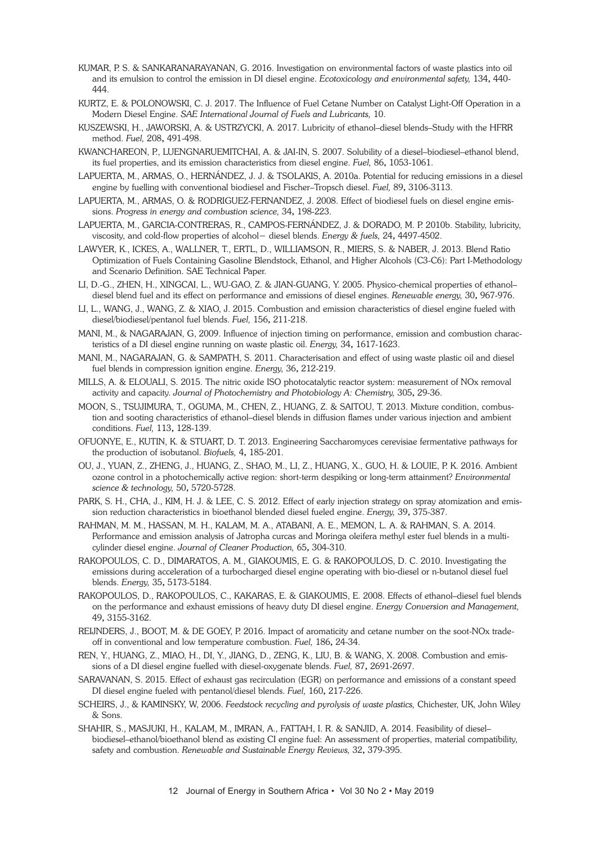- KUMAR, P. S. & SANKARANARAYANAN, G. 2016. Investigation on environmental factors of waste plastics into oil and its emulsion to control the emission in DI diesel engine. *Ecotoxicology and environmental safety,* 134, 440- 444.
- KURTZ, E. & POLONOWSKI, C. J. 2017. The Influence of Fuel Cetane Number on Catalyst Light-Off Operation in a Modern Diesel Engine. *SAE International Journal of Fuels and Lubricants,* 10.
- KUSZEWSKI, H., JAWORSKI, A. & USTRZYCKI, A. 2017. Lubricity of ethanol–diesel blends–Study with the HFRR method. *Fuel,* 208, 491-498.
- KWANCHAREON, P., LUENGNARUEMITCHAI, A. & JAI-IN, S. 2007. Solubility of a diesel–biodiesel–ethanol blend, its fuel properties, and its emission characteristics from diesel engine. *Fuel,* 86, 1053-1061.
- LAPUERTA, M., ARMAS, O., HERNÁNDEZ, J. J. & TSOLAKIS, A. 2010a. Potential for reducing emissions in a diesel engine by fuelling with conventional biodiesel and Fischer–Tropsch diesel. *Fuel,* 89, 3106-3113.
- LAPUERTA, M., ARMAS, O. & RODRIGUEZ-FERNANDEZ, J. 2008. Effect of biodiesel fuels on diesel engine emissions. *Progress in energy and combustion science,* 34, 198-223.
- LAPUERTA, M., GARCIA-CONTRERAS, R., CAMPOS-FERNÁNDEZ, J. & DORADO, M. P. 2010b. Stability, lubricity, viscosity, and cold-flow properties of alcohol− diesel blends. *Energy & fuels,* 24, 4497-4502.
- LAWYER, K., ICKES, A., WALLNER, T., ERTL, D., WILLIAMSON, R., MIERS, S. & NABER, J. 2013. Blend Ratio Optimization of Fuels Containing Gasoline Blendstock, Ethanol, and Higher Alcohols (C3-C6): Part I-Methodology and Scenario Definition. SAE Technical Paper.
- LI, D.-G., ZHEN, H., XINGCAI, L., WU-GAO, Z. & JIAN-GUANG, Y. 2005. Physico-chemical properties of ethanol– diesel blend fuel and its effect on performance and emissions of diesel engines. *Renewable energy,* 30, 967-976.
- LI, L., WANG, J., WANG, Z. & XIAO, J. 2015. Combustion and emission characteristics of diesel engine fueled with diesel/biodiesel/pentanol fuel blends. *Fuel,* 156, 211-218.
- MANI, M., & NAGARAJAN, G, 2009. Influence of injection timing on performance, emission and combustion characteristics of a DI diesel engine running on waste plastic oil. *Energy,* 34, 1617-1623.
- MANI, M., NAGARAJAN, G. & SAMPATH, S. 2011. Characterisation and effect of using waste plastic oil and diesel fuel blends in compression ignition engine. *Energy,* 36, 212-219.
- MILLS, A. & ELOUALI, S. 2015. The nitric oxide ISO photocatalytic reactor system: measurement of NOx removal activity and capacity. *Journal of Photochemistry and Photobiology A: Chemistry,* 305, 29-36.
- MOON, S., TSUJIMURA, T., OGUMA, M., CHEN, Z., HUANG, Z. & SAITOU, T. 2013. Mixture condition, combustion and sooting characteristics of ethanol–diesel blends in diffusion flames under various injection and ambient conditions. *Fuel,* 113, 128-139.
- OFUONYE, E., KUTIN, K. & STUART, D. T. 2013. Engineering Saccharomyces cerevisiae fermentative pathways for the production of isobutanol. *Biofuels,* 4, 185-201.
- OU, J., YUAN, Z., ZHENG, J., HUANG, Z., SHAO, M., LI, Z., HUANG, X., GUO, H. & LOUIE, P. K. 2016. Ambient ozone control in a photochemically active region: short-term despiking or long-term attainment? *Environmental science & technology,* 50, 5720-5728.
- PARK, S. H., CHA, J., KIM, H. J. & LEE, C. S. 2012. Effect of early injection strategy on spray atomization and emission reduction characteristics in bioethanol blended diesel fueled engine. *Energy,* 39, 375-387.
- RAHMAN, M. M., HASSAN, M. H., KALAM, M. A., ATABANI, A. E., MEMON, L. A. & RAHMAN, S. A. 2014. Performance and emission analysis of Jatropha curcas and Moringa oleifera methyl ester fuel blends in a multicylinder diesel engine. *Journal of Cleaner Production,* 65, 304-310.
- RAKOPOULOS, C. D., DIMARATOS, A. M., GIAKOUMIS, E. G. & RAKOPOULOS, D. C. 2010. Investigating the emissions during acceleration of a turbocharged diesel engine operating with bio-diesel or n-butanol diesel fuel blends. *Energy,* 35, 5173-5184.
- RAKOPOULOS, D., RAKOPOULOS, C., KAKARAS, E. & GIAKOUMIS, E. 2008. Effects of ethanol–diesel fuel blends on the performance and exhaust emissions of heavy duty DI diesel engine. *Energy Conversion and Management,* 49, 3155-3162.
- REIJNDERS, J., BOOT, M. & DE GOEY, P. 2016. Impact of aromaticity and cetane number on the soot-NOx tradeoff in conventional and low temperature combustion. *Fuel,* 186, 24-34.
- REN, Y., HUANG, Z., MIAO, H., DI, Y., JIANG, D., ZENG, K., LIU, B. & WANG, X. 2008. Combustion and emissions of a DI diesel engine fuelled with diesel-oxygenate blends. *Fuel,* 87, 2691-2697.
- SARAVANAN, S. 2015. Effect of exhaust gas recirculation (EGR) on performance and emissions of a constant speed DI diesel engine fueled with pentanol/diesel blends. *Fuel,* 160, 217-226.
- SCHEIRS, J., & KAMINSKY, W, 2006. *Feedstock recycling and pyrolysis of waste plastics,* Chichester, UK, John Wiley & Sons.
- SHAHIR, S., MASJUKI, H., KALAM, M., IMRAN, A., FATTAH, I. R. & SANJID, A. 2014. Feasibility of diesel– biodiesel–ethanol/bioethanol blend as existing CI engine fuel: An assessment of properties, material compatibility, safety and combustion. *Renewable and Sustainable Energy Reviews,* 32, 379-395.